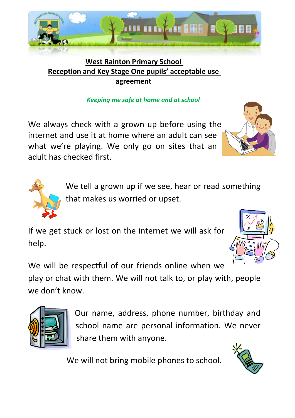

# **West Rainton Primary School Reception and Key Stage One pupils' acceptable use agreement**

## *Keeping me safe at home and at school*

We always check with a grown up before using the internet and use it at home where an adult can see what we're playing. We only go on sites that an adult has checked first.

> We tell a grown up if we see, hear or read something that makes us worried or upset.

If we get stuck or lost on the internet we will ask for help.

We will be respectful of our friends online when we play or chat with them. We will not talk to, or play with, people we don't know.



Our name, address, phone number, birthday and school name are personal information. We never share them with anyone.

We will not bring mobile phones to school.